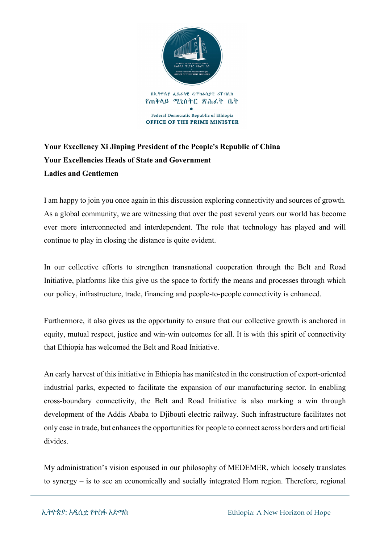

## **Your Excellency Xi Jinping President of the People's Republic of China Your Excellencies Heads of State and Government Ladies and Gentlemen**

I am happy to join you once again in this discussion exploring connectivity and sources of growth. As a global community, we are witnessing that over the past several years our world has become ever more interconnected and interdependent. The role that technology has played and will continue to play in closing the distance is quite evident.

In our collective efforts to strengthen transnational cooperation through the Belt and Road Initiative, platforms like this give us the space to fortify the means and processes through which our policy, infrastructure, trade, financing and people-to-people connectivity is enhanced.

Furthermore, it also gives us the opportunity to ensure that our collective growth is anchored in equity, mutual respect, justice and win-win outcomes for all. It is with this spirit of connectivity that Ethiopia has welcomed the Belt and Road Initiative.

An early harvest of this initiative in Ethiopia has manifested in the construction of export-oriented industrial parks, expected to facilitate the expansion of our manufacturing sector. In enabling cross-boundary connectivity, the Belt and Road Initiative is also marking a win through development of the Addis Ababa to Djibouti electric railway. Such infrastructure facilitates not only ease in trade, but enhances the opportunities for people to connect across borders and artificial divides.

My administration's vision espoused in our philosophy of MEDEMER, which loosely translates to synergy – is to see an economically and socially integrated Horn region. Therefore, regional